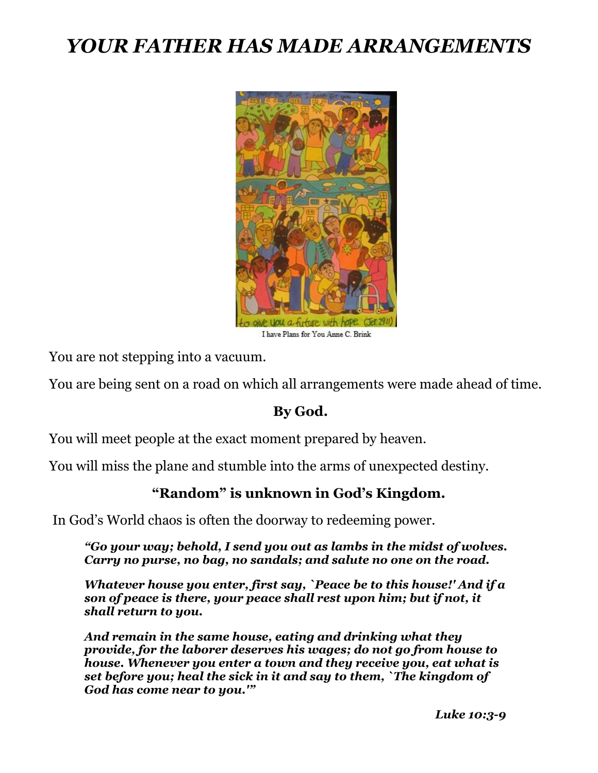## *YOUR FATHER HAS MADE ARRANGEMENTS*



You are not stepping into a vacuum.

You are being sent on a road on which all arrangements were made ahead of time.

## **By God.**

You will meet people at the exact moment prepared by heaven.

You will miss the plane and stumble into the arms of unexpected destiny.

## **"Random" is unknown in God's Kingdom.**

In God's World chaos is often the doorway to redeeming power.

*"Go your way; behold, I send you out as lambs in the midst of wolves. Carry no purse, no bag, no sandals; and salute no one on the road.*

*Whatever house you enter, first say, `Peace be to this house!' And if a son of peace is there, your peace shall rest upon him; but if not, it shall return to you.*

*And remain in the same house, eating and drinking what they provide, for the laborer deserves his wages; do not go from house to house. Whenever you enter a town and they receive you, eat what is set before you; heal the sick in it and say to them, `The kingdom of God has come near to you.'"*